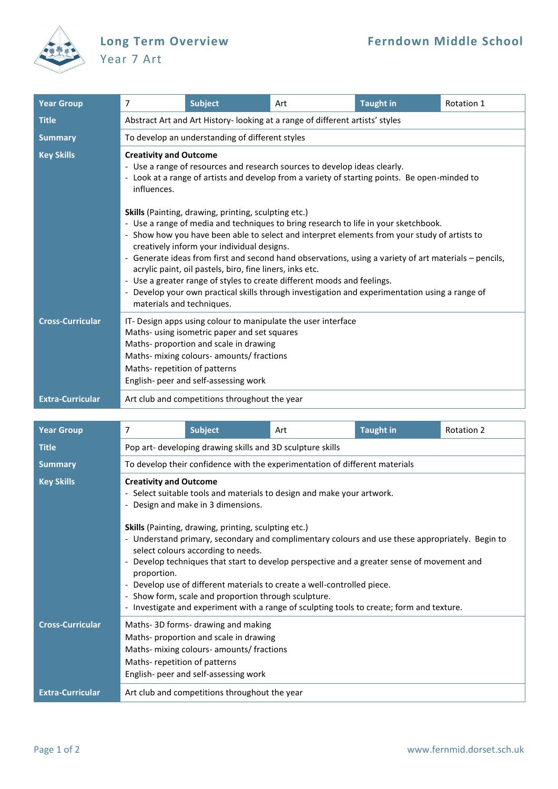

## Year 7 Art

| <b>Year Group</b>       | 7                                                                                                                                                                                                                                                                                                                                                                                                                                                                                                                                                                                                                                                                                                                                                                                                                                                                                                             | <b>Subject</b> | Art | <b>Taught in</b> | Rotation 1 |  |  |  |
|-------------------------|---------------------------------------------------------------------------------------------------------------------------------------------------------------------------------------------------------------------------------------------------------------------------------------------------------------------------------------------------------------------------------------------------------------------------------------------------------------------------------------------------------------------------------------------------------------------------------------------------------------------------------------------------------------------------------------------------------------------------------------------------------------------------------------------------------------------------------------------------------------------------------------------------------------|----------------|-----|------------------|------------|--|--|--|
| <b>Title</b>            | Abstract Art and Art History- looking at a range of different artists' styles                                                                                                                                                                                                                                                                                                                                                                                                                                                                                                                                                                                                                                                                                                                                                                                                                                 |                |     |                  |            |  |  |  |
| <b>Summary</b>          | To develop an understanding of different styles                                                                                                                                                                                                                                                                                                                                                                                                                                                                                                                                                                                                                                                                                                                                                                                                                                                               |                |     |                  |            |  |  |  |
| <b>Key Skills</b>       | <b>Creativity and Outcome</b><br>- Use a range of resources and research sources to develop ideas clearly.<br>- Look at a range of artists and develop from a variety of starting points. Be open-minded to<br>influences.<br><b>Skills</b> (Painting, drawing, printing, sculpting etc.)<br>- Use a range of media and techniques to bring research to life in your sketchbook.<br>- Show how you have been able to select and interpret elements from your study of artists to<br>creatively inform your individual designs.<br>- Generate ideas from first and second hand observations, using a variety of art materials - pencils,<br>acrylic paint, oil pastels, biro, fine liners, inks etc.<br>- Use a greater range of styles to create different moods and feelings.<br>- Develop your own practical skills through investigation and experimentation using a range of<br>materials and techniques. |                |     |                  |            |  |  |  |
|                         |                                                                                                                                                                                                                                                                                                                                                                                                                                                                                                                                                                                                                                                                                                                                                                                                                                                                                                               |                |     |                  |            |  |  |  |
| <b>Cross-Curricular</b> | IT- Design apps using colour to manipulate the user interface<br>Maths- using isometric paper and set squares<br>Maths- proportion and scale in drawing<br>Maths- mixing colours- amounts/ fractions<br>Maths-repetition of patterns<br>English- peer and self-assessing work                                                                                                                                                                                                                                                                                                                                                                                                                                                                                                                                                                                                                                 |                |     |                  |            |  |  |  |
| <b>Extra-Curricular</b> | Art club and competitions throughout the year                                                                                                                                                                                                                                                                                                                                                                                                                                                                                                                                                                                                                                                                                                                                                                                                                                                                 |                |     |                  |            |  |  |  |

| <b>Year Group</b>       | 7                                                                                                                                                                                                                                                                                                                                                                                                                                                                                                                                          | <b>Subject</b> | Art | <b>Taught in</b> | <b>Rotation 2</b> |  |  |  |
|-------------------------|--------------------------------------------------------------------------------------------------------------------------------------------------------------------------------------------------------------------------------------------------------------------------------------------------------------------------------------------------------------------------------------------------------------------------------------------------------------------------------------------------------------------------------------------|----------------|-----|------------------|-------------------|--|--|--|
| <b>Title</b>            | Pop art- developing drawing skills and 3D sculpture skills                                                                                                                                                                                                                                                                                                                                                                                                                                                                                 |                |     |                  |                   |  |  |  |
| <b>Summary</b>          | To develop their confidence with the experimentation of different materials                                                                                                                                                                                                                                                                                                                                                                                                                                                                |                |     |                  |                   |  |  |  |
| <b>Key Skills</b>       | <b>Creativity and Outcome</b><br>- Select suitable tools and materials to design and make your artwork.<br>- Design and make in 3 dimensions.                                                                                                                                                                                                                                                                                                                                                                                              |                |     |                  |                   |  |  |  |
|                         | Skills (Painting, drawing, printing, sculpting etc.)<br>- Understand primary, secondary and complimentary colours and use these appropriately. Begin to<br>select colours according to needs.<br>- Develop techniques that start to develop perspective and a greater sense of movement and<br>proportion.<br>- Develop use of different materials to create a well-controlled piece.<br>- Show form, scale and proportion through sculpture.<br>- Investigate and experiment with a range of sculpting tools to create; form and texture. |                |     |                  |                   |  |  |  |
| <b>Cross-Curricular</b> | Maths-3D forms- drawing and making<br>Maths- proportion and scale in drawing<br>Maths- mixing colours- amounts/ fractions<br>Maths-repetition of patterns<br>English- peer and self-assessing work                                                                                                                                                                                                                                                                                                                                         |                |     |                  |                   |  |  |  |
| <b>Extra-Curricular</b> | Art club and competitions throughout the year                                                                                                                                                                                                                                                                                                                                                                                                                                                                                              |                |     |                  |                   |  |  |  |